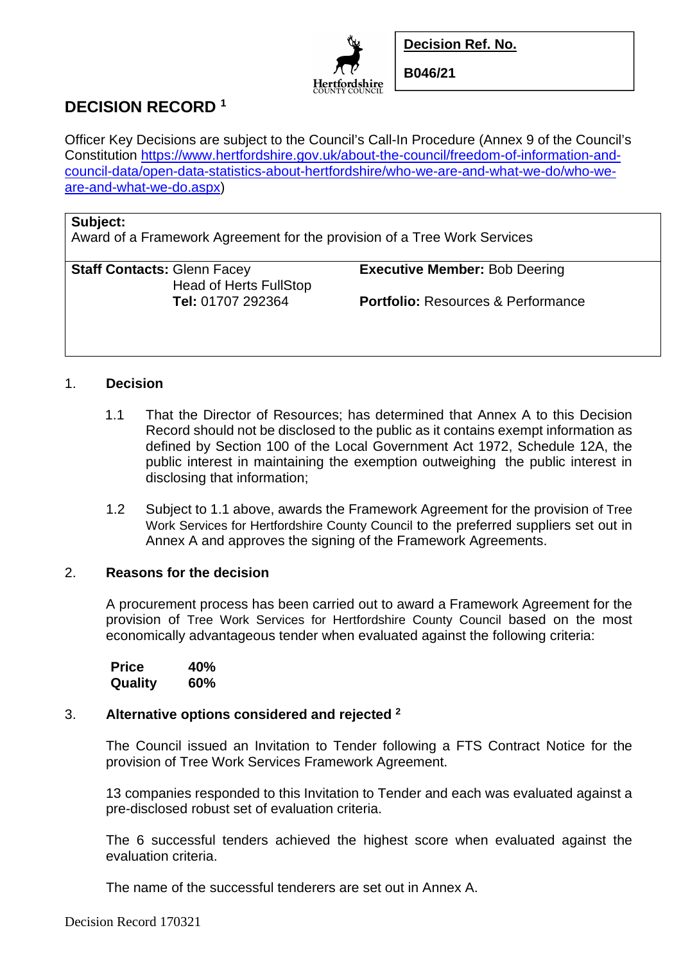

**Decision Ref. No.** 

**B046/21** 

# **DECISION RECORD <sup>1</sup>**

Officer Key Decisions are subject to the Council's Call-In Procedure (Annex 9 of the Council's Constitution https://www.hertfordshire.gov.uk/about-the-council/freedom-of-information-andcouncil-data/open-data-statistics-about-hertfordshire/who-we-are-and-what-we-do/who-weare-and-what-we-do.aspx)

#### **Subject:**

Award of a Framework Agreement for the provision of a Tree Work Services

**Staff Contacts:** Glenn Facey **Executive Member:** Bob Deering Head of Herts FullStop

 **Tel:** 01707 292364 **Portfolio:** Resources & Performance

### 1. **Decision**

- 1.1 That the Director of Resources; has determined that Annex A to this Decision Record should not be disclosed to the public as it contains exempt information as defined by Section 100 of the Local Government Act 1972, Schedule 12A, the public interest in maintaining the exemption outweighing the public interest in disclosing that information;
- 1.2 Subject to 1.1 above, awards the Framework Agreement for the provision of Tree Work Services for Hertfordshire County Council to the preferred suppliers set out in Annex A and approves the signing of the Framework Agreements.

#### 2. **Reasons for the decision**

A procurement process has been carried out to award a Framework Agreement for the provision of Tree Work Services for Hertfordshire County Council based on the most economically advantageous tender when evaluated against the following criteria:

 **Price 40% Quality 60%** 

## 3. **Alternative options considered and rejected <sup>2</sup>**

The Council issued an Invitation to Tender following a FTS Contract Notice for the provision of Tree Work Services Framework Agreement.

13 companies responded to this Invitation to Tender and each was evaluated against a pre-disclosed robust set of evaluation criteria.

The 6 successful tenders achieved the highest score when evaluated against the evaluation criteria.

The name of the successful tenderers are set out in Annex A.